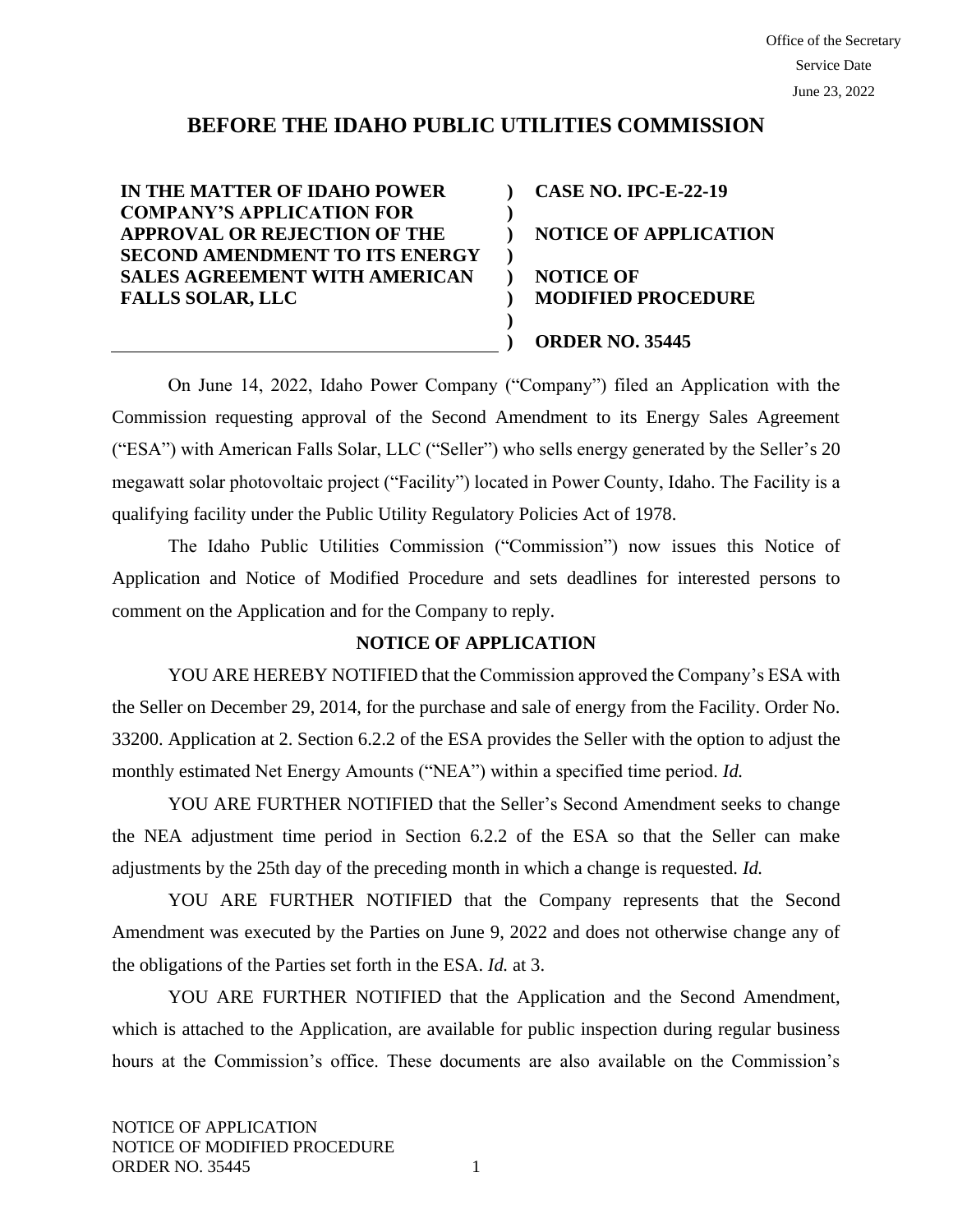# **BEFORE THE IDAHO PUBLIC UTILITIES COMMISSION**

**) ) ) ) ) ) ) )**

**IN THE MATTER OF IDAHO POWER COMPANY'S APPLICATION FOR APPROVAL OR REJECTION OF THE SECOND AMENDMENT TO ITS ENERGY SALES AGREEMENT WITH AMERICAN FALLS SOLAR, LLC**

**CASE NO. IPC-E-22-19 NOTICE OF APPLICATION NOTICE OF MODIFIED PROCEDURE ORDER NO. 35445**

On June 14, 2022, Idaho Power Company ("Company") filed an Application with the Commission requesting approval of the Second Amendment to its Energy Sales Agreement ("ESA") with American Falls Solar, LLC ("Seller") who sells energy generated by the Seller's 20 megawatt solar photovoltaic project ("Facility") located in Power County, Idaho. The Facility is a qualifying facility under the Public Utility Regulatory Policies Act of 1978.

The Idaho Public Utilities Commission ("Commission") now issues this Notice of Application and Notice of Modified Procedure and sets deadlines for interested persons to comment on the Application and for the Company to reply.

#### **NOTICE OF APPLICATION**

YOU ARE HEREBY NOTIFIED that the Commission approved the Company's ESA with the Seller on December 29, 2014, for the purchase and sale of energy from the Facility. Order No. 33200. Application at 2. Section 6.2.2 of the ESA provides the Seller with the option to adjust the monthly estimated Net Energy Amounts ("NEA") within a specified time period. *Id.* 

YOU ARE FURTHER NOTIFIED that the Seller's Second Amendment seeks to change the NEA adjustment time period in Section 6.2.2 of the ESA so that the Seller can make adjustments by the 25th day of the preceding month in which a change is requested. *Id.* 

YOU ARE FURTHER NOTIFIED that the Company represents that the Second Amendment was executed by the Parties on June 9, 2022 and does not otherwise change any of the obligations of the Parties set forth in the ESA. *Id.* at 3.

YOU ARE FURTHER NOTIFIED that the Application and the Second Amendment, which is attached to the Application, are available for public inspection during regular business hours at the Commission's office. These documents are also available on the Commission's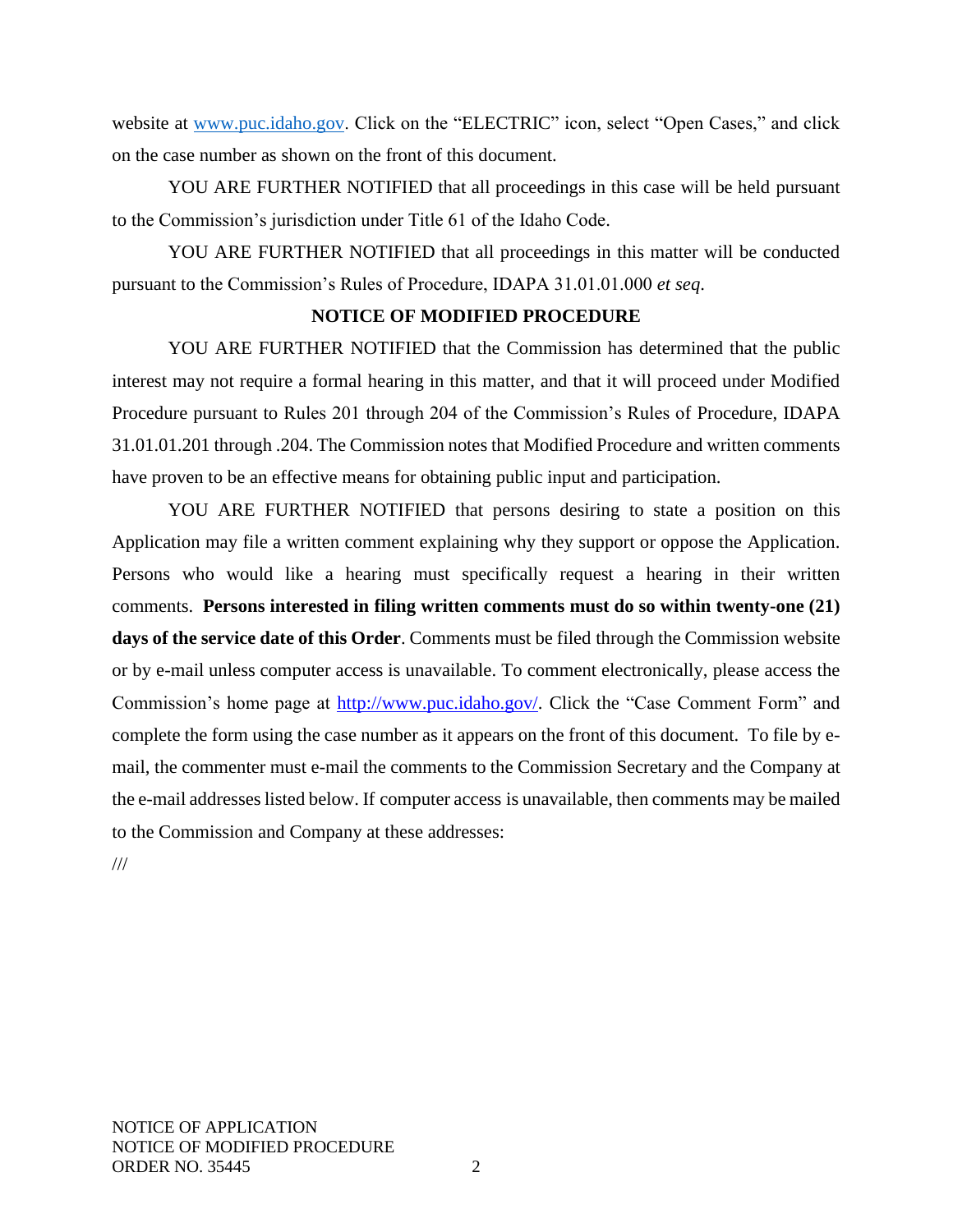website at [www.puc.idaho.gov.](http://www.puc.idaho.gov/) Click on the "ELECTRIC" icon, select "Open Cases," and click on the case number as shown on the front of this document.

YOU ARE FURTHER NOTIFIED that all proceedings in this case will be held pursuant to the Commission's jurisdiction under Title 61 of the Idaho Code.

YOU ARE FURTHER NOTIFIED that all proceedings in this matter will be conducted pursuant to the Commission's Rules of Procedure, IDAPA 31.01.01.000 *et seq*.

## **NOTICE OF MODIFIED PROCEDURE**

YOU ARE FURTHER NOTIFIED that the Commission has determined that the public interest may not require a formal hearing in this matter, and that it will proceed under Modified Procedure pursuant to Rules 201 through 204 of the Commission's Rules of Procedure, IDAPA 31.01.01.201 through .204. The Commission notes that Modified Procedure and written comments have proven to be an effective means for obtaining public input and participation.

YOU ARE FURTHER NOTIFIED that persons desiring to state a position on this Application may file a written comment explaining why they support or oppose the Application. Persons who would like a hearing must specifically request a hearing in their written comments. **Persons interested in filing written comments must do so within twenty-one (21) days of the service date of this Order**. Comments must be filed through the Commission website or by e-mail unless computer access is unavailable. To comment electronically, please access the Commission's home page at [http://www.puc.idaho.gov/.](http://www.puc.idaho.gov/) Click the "Case Comment Form" and complete the form using the case number as it appears on the front of this document. To file by email, the commenter must e-mail the comments to the Commission Secretary and the Company at the e-mail addresses listed below. If computer access is unavailable, then comments may be mailed to the Commission and Company at these addresses:

///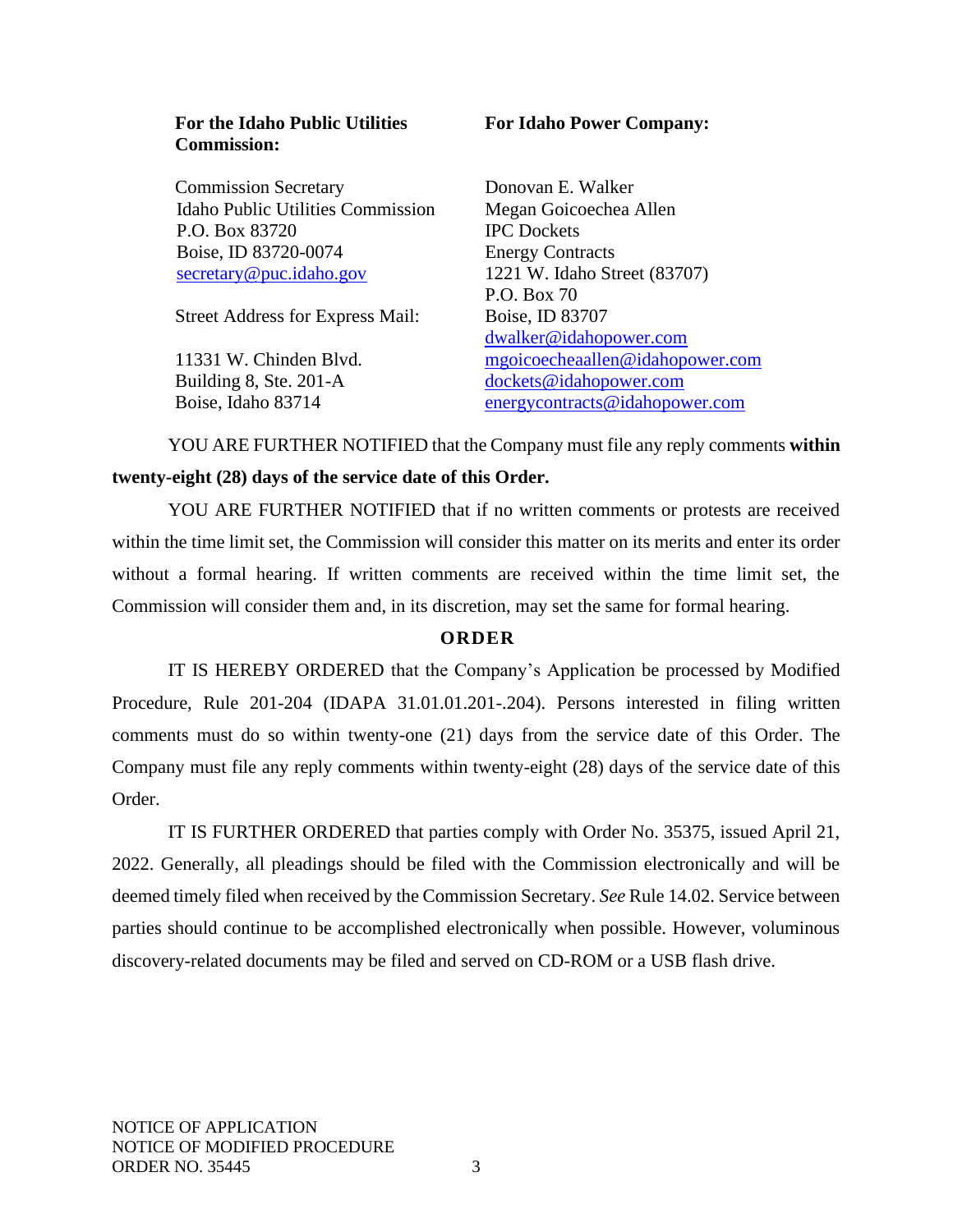#### **For the Idaho Public Utilities Commission:**

Commission Secretary Idaho Public Utilities Commission P.O. Box 83720 Boise, ID 83720-0074 [secretary@puc.idaho.gov](mailto:secretary@puc.idaho.gov)

Street Address for Express Mail:

11331 W. Chinden Blvd. Building 8, Ste. 201-A Boise, Idaho 83714

## **For Idaho Power Company:**

Donovan E. Walker Megan Goicoechea Allen IPC Dockets Energy Contracts 1221 W. Idaho Street (83707) P.O. Box 70 Boise, ID 83707 [dwalker@idahopower.com](mailto:dwalker@idahopower.com) mgoicoecheaallen@idahopower.com [dockets@idahopower.com](mailto:dockets@idahopower.com) [energycontracts@idahopower.com](mailto:energycontracts@idahopower.com)

YOU ARE FURTHER NOTIFIED that the Company must file any reply comments **within twenty-eight (28) days of the service date of this Order.**

YOU ARE FURTHER NOTIFIED that if no written comments or protests are received within the time limit set, the Commission will consider this matter on its merits and enter its order without a formal hearing. If written comments are received within the time limit set, the Commission will consider them and, in its discretion, may set the same for formal hearing.

# **O R D E R**

IT IS HEREBY ORDERED that the Company's Application be processed by Modified Procedure, Rule 201-204 (IDAPA 31.01.01.201-.204). Persons interested in filing written comments must do so within twenty-one (21) days from the service date of this Order. The Company must file any reply comments within twenty-eight (28) days of the service date of this Order.

IT IS FURTHER ORDERED that parties comply with Order No. 35375, issued April 21, 2022. Generally, all pleadings should be filed with the Commission electronically and will be deemed timely filed when received by the Commission Secretary. *See* Rule 14.02. Service between parties should continue to be accomplished electronically when possible. However, voluminous discovery-related documents may be filed and served on CD-ROM or a USB flash drive.